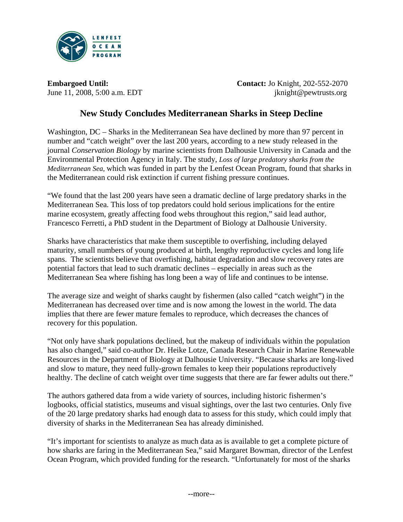

**Embargoed Until:** Contact: Jo Knight, 202-552-2070 June 11, 2008, 5:00 a.m. EDT jknight@pewtrusts.org

# **New Study Concludes Mediterranean Sharks in Steep Decline**

Washington, DC – Sharks in the Mediterranean Sea have declined by more than 97 percent in number and "catch weight" over the last 200 years, according to a new study released in the journal *Conservation Biology* by marine scientists from Dalhousie University in Canada and the Environmental Protection Agency in Italy. The study, *Loss of large predatory sharks from the Mediterranean Sea,* which was funded in part by the Lenfest Ocean Program, found that sharks in the Mediterranean could risk extinction if current fishing pressure continues.

"We found that the last 200 years have seen a dramatic decline of large predatory sharks in the Mediterranean Sea. This loss of top predators could hold serious implications for the entire marine ecosystem, greatly affecting food webs throughout this region," said lead author, Francesco Ferretti, a PhD student in the Department of Biology at Dalhousie University.

Sharks have characteristics that make them susceptible to overfishing, including delayed maturity, small numbers of young produced at birth, lengthy reproductive cycles and long life spans. The scientists believe that overfishing, habitat degradation and slow recovery rates are potential factors that lead to such dramatic declines – especially in areas such as the Mediterranean Sea where fishing has long been a way of life and continues to be intense.

The average size and weight of sharks caught by fishermen (also called "catch weight") in the Mediterranean has decreased over time and is now among the lowest in the world. The data implies that there are fewer mature females to reproduce, which decreases the chances of recovery for this population.

"Not only have shark populations declined, but the makeup of individuals within the population has also changed," said co-author Dr. Heike Lotze, Canada Research Chair in Marine Renewable Resources in the Department of Biology at Dalhousie University. "Because sharks are long-lived and slow to mature, they need fully-grown females to keep their populations reproductively healthy. The decline of catch weight over time suggests that there are far fewer adults out there."

The authors gathered data from a wide variety of sources, including historic fishermen's logbooks, official statistics, museums and visual sightings, over the last two centuries. Only five of the 20 large predatory sharks had enough data to assess for this study, which could imply that diversity of sharks in the Mediterranean Sea has already diminished.

"It's important for scientists to analyze as much data as is available to get a complete picture of how sharks are faring in the Mediterranean Sea," said Margaret Bowman, director of the Lenfest Ocean Program, which provided funding for the research. "Unfortunately for most of the sharks